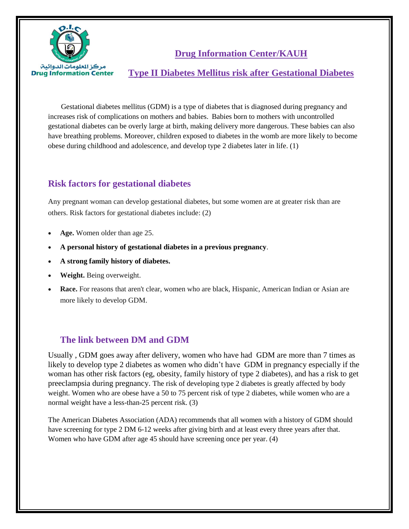

**Drug Information Center/KAUH**

#### **Type II Diabetes Mellitus risk after Gestational Diabetes**

 Gestational diabetes mellitus (GDM) is a type of diabetes that is diagnosed during pregnancy and increases risk of complications on mothers and babies. Babies born to mothers with uncontrolled gestational diabetes can be overly large at birth, making delivery more dangerous. These babies can also have breathing problems. Moreover, children exposed to diabetes in the womb are more likely to become obese during childhood and adolescence, and develop type 2 diabetes later in life. (1)

# **Risk factors for gestational diabetes**

Any pregnant woman can develop gestational diabetes, but some women are at greater risk than are others. Risk factors for gestational diabetes include: (2)

- **Age.** Women older than age 25.
- **A personal history of gestational diabetes in a previous pregnancy**.
- **A strong family history of diabetes.**
- **Weight.** Being overweight.
- **Race.** For reasons that aren't clear, women who are black, Hispanic, American Indian or Asian are more likely to develop GDM.

# **The link between DM and GDM**

Usually , GDM goes away after delivery, women who have had GDM are more than 7 times as likely to develop type 2 diabetes as women who didn't have GDM in pregnancy especially if the woman has other risk factors (eg, obesity, family history of type 2 diabetes), and has a risk to get preeclampsia during pregnancy. The risk of developing type 2 diabetes is greatly affected by body weight. Women who are obese have a 50 to 75 percent risk of type 2 diabetes, while women who are a normal weight have a less-than-25 percent risk. (3)

The American Diabetes Association (ADA) recommends that all women with a history of GDM should have screening for type 2 DM 6-12 weeks after giving birth and at least every three years after that. Women who have GDM after age 45 should have screening once per year. (4)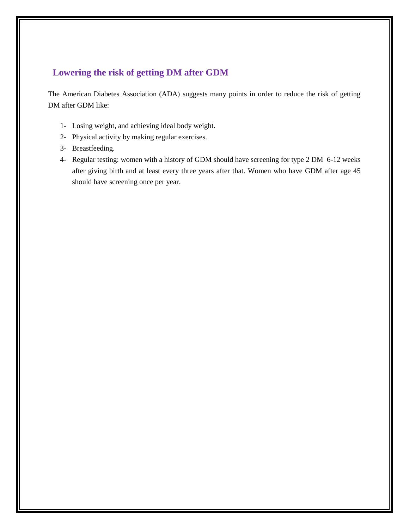# **Lowering the risk of getting DM after GDM**

The American Diabetes Association (ADA) suggests many points in order to reduce the risk of getting DM after GDM like:

- 1- Losing weight, and achieving ideal body weight.
- 2- Physical activity by making regular exercises.
- 3- Breastfeeding.
- 4- Regular testing: women with a history of GDM should have screening for type 2 DM 6-12 weeks after giving birth and at least every three years after that. Women who have GDM after age 45 should have screening once per year.